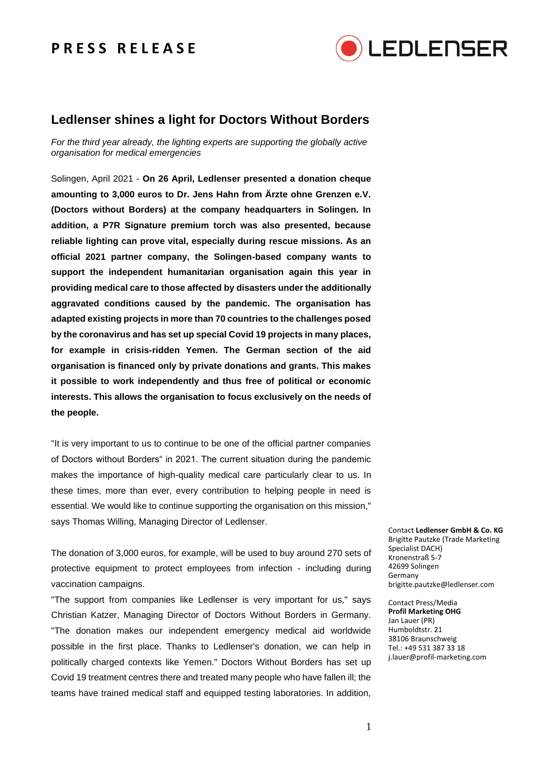## **P R E S S R E L E A S E**



## **Ledlenser shines a light for Doctors Without Borders**

*For the third year already, the lighting experts are supporting the globally active organisation for medical emergencies*

Solingen, April 2021 - **On 26 April, Ledlenser presented a donation cheque amounting to 3,000 euros to Dr. Jens Hahn from Ärzte ohne Grenzen e.V. (Doctors without Borders) at the company headquarters in Solingen. In addition, a P7R Signature premium torch was also presented, because reliable lighting can prove vital, especially during rescue missions. As an official 2021 partner company, the Solingen-based company wants to support the independent humanitarian organisation again this year in providing medical care to those affected by disasters under the additionally aggravated conditions caused by the pandemic. The organisation has adapted existing projects in more than 70 countries to the challenges posed by the coronavirus and has set up special Covid 19 projects in many places, for example in crisis-ridden Yemen. The German section of the aid organisation is financed only by private donations and grants. This makes it possible to work independently and thus free of political or economic interests. This allows the organisation to focus exclusively on the needs of the people.**

"It is very important to us to continue to be one of the official partner companies of Doctors without Borders" in 2021. The current situation during the pandemic makes the importance of high-quality medical care particularly clear to us. In these times, more than ever, every contribution to helping people in need is essential. We would like to continue supporting the organisation on this mission," says Thomas Willing, Managing Director of Ledlenser.

The donation of 3,000 euros, for example, will be used to buy around 270 sets of protective equipment to protect employees from infection - including during vaccination campaigns.

"The support from companies like Ledlenser is very important for us," says Christian Katzer, Managing Director of Doctors Without Borders in Germany. "The donation makes our independent emergency medical aid worldwide possible in the first place. Thanks to Ledlenser's donation, we can help in politically charged contexts like Yemen." Doctors Without Borders has set up Covid 19 treatment centres there and treated many people who have fallen ill; the teams have trained medical staff and equipped testing laboratories. In addition,

Contact **Ledlenser GmbH & Co. KG** Brigitte Pautzke (Trade Marketing Specialist DACH) Kronenstraß 5-7 42699 Solingen Germany brigitte.pautzke@ledlenser.com

Contact Press/Media **Profil Marketing OHG** Jan Lauer (PR) Humboldtstr. 21 38106 Braunschweig Tel.: +49 531 387 33 18 j.lauer@profil-marketing.com